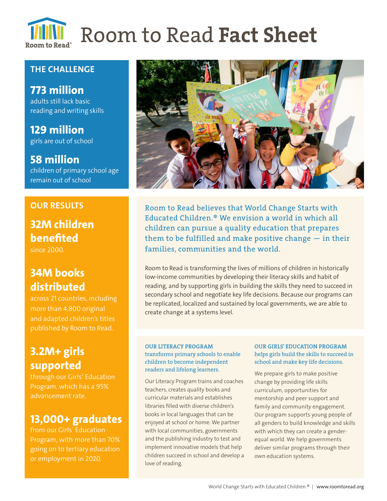

## **THE CHALLENGE**

**773 million**  adults still lack basic reading and writing skills

**129 million** girls are out of school

**58 million**  children of primary school age remain out of school

## **OUR RESULTS**

# **32M children benefited**

since 2000.

# **34M books distributed**

across 21 countries, including more than 4,800 original and adapted children's titles published by Room to Read.

# **3.2M+ girls supported**

through our Girls' Education Program, which has a 95% advancement rate.

# **13,000+ graduates**

from our Girls' Education Program, with more than 70% going on to tertiary education or employment in 2020.



Room to Read believes that World Change Starts with Educated Children.® We envision a world in which all children can pursue a quality education that prepares them to be fulfilled and make positive change  $-$  in their families, communities and the world.

Room to Read is transforming the lives of millions of children in historically low-income communities by developing their literacy skills and habit of reading, and by supporting girls in building the skills they need to succeed in secondary school and negotiate key life decisions. Because our programs can be replicated, localized and sustained by local governments, we are able to create change at a systems level.

### OUR LITERACY PROGRAM transforms primary schools to enable children to become independent readers and lifelong learners.

Our Literacy Program trains and coaches teachers, creates quality books and curricular materials and establishes libraries filled with diverse children's books in local languages that can be enjoyed at school or home. We partner with local communities, governments and the publishing industry to test and implement innovative models that help children succeed in school and develop a love of reading.

### OUR GIRLS' EDUCATION PROGRAM helps girls build the skills to succeed in school and make key life decisions.

We prepare girls to make positive change by providing life skills curriculum, opportunities for mentorship and peer support and family and community engagement. Our program supports young people of all genders to build knowledge and skills with which they can create a genderequal world. We help governments deliver similar programs through their own education systems.